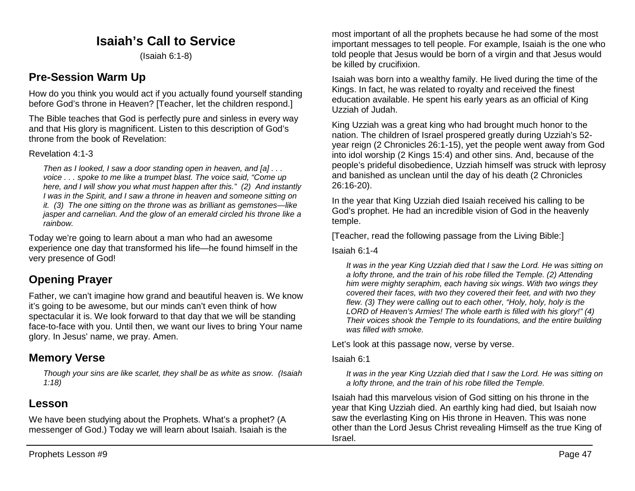## **Isaiah's Call to Service**

(Isaiah 6:1-8)

## **Pre-Session Warm Up**

How do you think you would act if you actually found yourself standing before God's throne in Heaven? [Teacher, let the children respond.]

The Bible teaches that God is perfectly pure and sinless in every way and that His glory is magnificent. Listen to this description of God's throne from the book of Revelation:

### Revelation 4:1-3

*Then as I looked, I saw a door standing open in heaven, and [a] . . . voice . . . spoke to me like a trumpet blast. The voice said, "Come up here, and I will show you what must happen after this." (2) And instantly I was in the Spirit, and I saw a throne in heaven and someone sitting on it. (3) The one sitting on the throne was as brilliant as gemstones—like jasper and carnelian. And the glow of an emerald circled his throne like a rainbow.*

Today we're going to learn about a man who had an awesome experience one day that transformed his life—he found himself in the very presence of God!

# **Opening Prayer**

Father, we can't imagine how grand and beautiful heaven is. We know it's going to be awesome, but our minds can't even think of how spectacular it is. We look forward to that day that we will be standing face-to-face with you. Until then, we want our lives to bring Your name glory. In Jesus' name, we pray. Amen.

## **Memory Verse**

*Though your sins are like scarlet, they shall be as white as snow. (Isaiah 1:18)*

## **Lesson**

We have been studying about the Prophets. What's a prophet? (A messenger of God.) Today we will learn about Isaiah. Isaiah is the most important of all the prophets because he had some of the most important messages to tell people. For example, Isaiah is the one who told people that Jesus would be born of a virgin and that Jesus would be killed by crucifixion.

Isaiah was born into a wealthy family. He lived during the time of the Kings. In fact, he was related to royalty and received the finest education available. He spent his early years as an official of King Uzziah of Judah.

King Uzziah was a great king who had brought much honor to the nation. The children of Israel prospered greatly during Uzziah's 52 year reign (2 Chronicles 26:1-15), yet the people went away from God into idol worship (2 Kings 15:4) and other sins. And, because of the people's prideful disobedience, Uzziah himself was struck with leprosy and banished as unclean until the day of his death (2 Chronicles 26:16-20).

In the year that King Uzziah died Isaiah received his calling to be God's prophet. He had an incredible vision of God in the heavenly temple.

[Teacher, read the following passage from the Living Bible:]

#### Isaiah 6:1-4

*It was in the year King Uzziah died that I saw the Lord. He was sitting on a lofty throne, and the train of his robe filled the Temple. (2) Attending him were mighty seraphim, each having six wings. With two wings they covered their faces, with two they covered their feet, and with two they flew. (3) They were calling out to each other, "Holy, holy, holy is the LORD of Heaven's Armies! The whole earth is filled with his glory!" (4) Their voices shook the Temple to its foundations, and the entire building was filled with smoke.* 

Let's look at this passage now, verse by verse.

#### Isaiah 6:1

*It was in the year King Uzziah died that I saw the Lord. He was sitting on a lofty throne, and the train of his robe filled the Temple.*

Isaiah had this marvelous vision of God sitting on his throne in the year that King Uzziah died. An earthly king had died, but Isaiah now saw the everlasting King on His throne in Heaven. This was none other than the Lord Jesus Christ revealing Himself as the true King of Israel.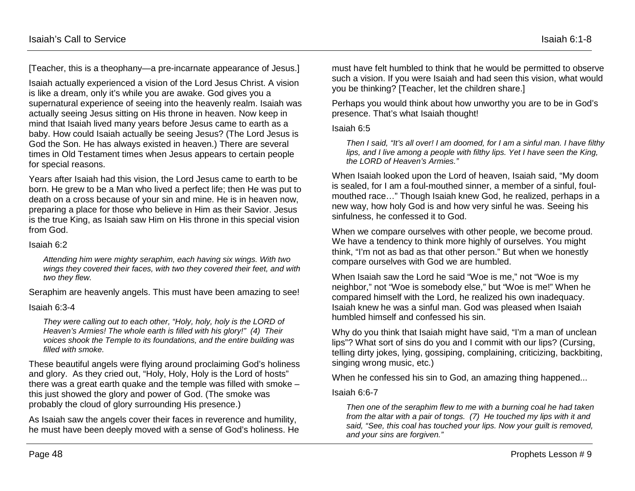[Teacher, this is a theophany—a pre-incarnate appearance of Jesus.]

Isaiah actually experienced a vision of the Lord Jesus Christ. A vision is like a dream, only it's while you are awake. God gives you a supernatural experience of seeing into the heavenly realm. Isaiah was actually seeing Jesus sitting on His throne in heaven. Now keep in mind that Isaiah lived many years before Jesus came to earth as a baby. How could Isaiah actually be seeing Jesus? (The Lord Jesus is God the Son. He has always existed in heaven.) There are several times in Old Testament times when Jesus appears to certain people for special reasons.

Years after Isaiah had this vision, the Lord Jesus came to earth to be born. He grew to be a Man who lived a perfect life; then He was put to death on a cross because of your sin and mine. He is in heaven now, preparing a place for those who believe in Him as their Savior. Jesus is the true King, as Isaiah saw Him on His throne in this special vision from God.

#### Isaiah 6:2

*Attending him were mighty seraphim, each having six wings. With two wings they covered their faces, with two they covered their feet, and with two they flew.*

Seraphim are heavenly angels. This must have been amazing to see!

#### Isaiah 6:3-4

*They were calling out to each other, "Holy, holy, holy is the LORD of Heaven's Armies! The whole earth is filled with his glory!" (4) Their voices shook the Temple to its foundations, and the entire building was filled with smoke.*

These beautiful angels were flying around proclaiming God's holiness and glory. As they cried out, "Holy, Holy, Holy is the Lord of hosts" there was a great earth quake and the temple was filled with smoke – this just showed the glory and power of God. (The smoke was probably the cloud of glory surrounding His presence.)

As Isaiah saw the angels cover their faces in reverence and humility, he must have been deeply moved with a sense of God's holiness. He must have felt humbled to think that he would be permitted to observe such a vision. If you were Isaiah and had seen this vision, what would you be thinking? [Teacher, let the children share.]

Perhaps you would think about how unworthy you are to be in God's presence. That's what Isaiah thought!

Isaiah 6:5

*Then I said, "It's all over! I am doomed, for I am a sinful man. I have filthy lips, and I live among a people with filthy lips. Yet I have seen the King, the LORD of Heaven's Armies."*

When Isaiah looked upon the Lord of heaven, Isaiah said, "My doom is sealed, for I am a foul-mouthed sinner, a member of a sinful, foulmouthed race…" Though Isaiah knew God, he realized, perhaps in a new way, how holy God is and how very sinful he was. Seeing his sinfulness, he confessed it to God.

When we compare ourselves with other people, we become proud. We have a tendency to think more highly of ourselves. You might think, "I'm not as bad as that other person." But when we honestly compare ourselves with God we are humbled.

When Isaiah saw the Lord he said "Woe is me," not "Woe is my neighbor," not "Woe is somebody else," but "Woe is me!" When he compared himself with the Lord, he realized his own inadequacy. Isaiah knew he was a sinful man. God was pleased when Isaiah humbled himself and confessed his sin.

Why do you think that Isaiah might have said, "I'm a man of unclean lips"? What sort of sins do you and I commit with our lips? (Cursing, telling dirty jokes, lying, gossiping, complaining, criticizing, backbiting, singing wrong music, etc.)

When he confessed his sin to God, an amazing thing happened...

Isaiah 6:6-7

*Then one of the seraphim flew to me with a burning coal he had taken from the altar with a pair of tongs. (7) He touched my lips with it and said, "See, this coal has touched your lips. Now your guilt is removed, and your sins are forgiven."*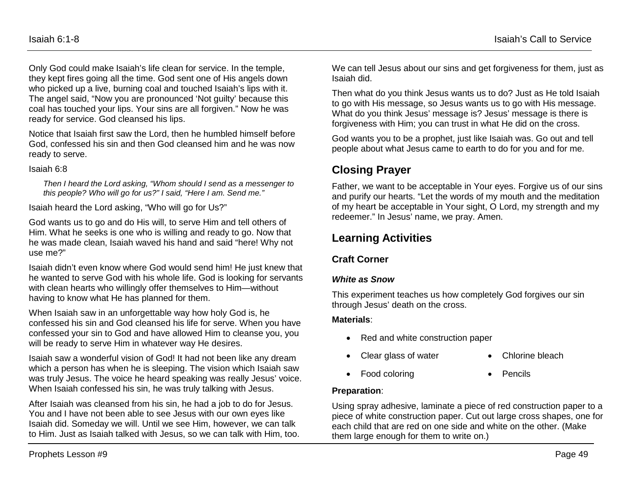Only God could make Isaiah's life clean for service. In the temple, they kept fires going all the time. God sent one of His angels down who picked up a live, burning coal and touched Isaiah's lips with it. The angel said, "Now you are pronounced 'Not guilty' because this coal has touched your lips. Your sins are all forgiven." Now he was ready for service. God cleansed his lips.

Notice that Isaiah first saw the Lord, then he humbled himself before God, confessed his sin and then God cleansed him and he was now ready to serve.

#### Isaiah 6:8

*Then I heard the Lord asking, "Whom should I send as a messenger to this people? Who will go for us?" I said, "Here I am. Send me."*

Isaiah heard the Lord asking, "Who will go for Us?"

God wants us to go and do His will, to serve Him and tell others of Him. What he seeks is one who is willing and ready to go. Now that he was made clean, Isaiah waved his hand and said "here! Why not use me?"

Isaiah didn't even know where God would send him! He just knew that he wanted to serve God with his whole life. God is looking for servants with clean hearts who willingly offer themselves to Him—without having to know what He has planned for them.

When Isaiah saw in an unforgettable way how holy God is, he confessed his sin and God cleansed his life for serve. When you have confessed your sin to God and have allowed Him to cleanse you, you will be ready to serve Him in whatever way He desires.

Isaiah saw a wonderful vision of God! It had not been like any dream which a person has when he is sleeping. The vision which Isaiah saw was truly Jesus. The voice he heard speaking was really Jesus' voice. When Isaiah confessed his sin, he was truly talking with Jesus.

After Isaiah was cleansed from his sin, he had a job to do for Jesus. You and I have not been able to see Jesus with our own eyes like Isaiah did. Someday we will. Until we see Him, however, we can talk to Him. Just as Isaiah talked with Jesus, so we can talk with Him, too. We can tell Jesus about our sins and get forgiveness for them, just as Isaiah did.

Then what do you think Jesus wants us to do? Just as He told Isaiah to go with His message, so Jesus wants us to go with His message. What do you think Jesus' message is? Jesus' message is there is forgiveness with Him; you can trust in what He did on the cross.

God wants you to be a prophet, just like Isaiah was. Go out and tell people about what Jesus came to earth to do for you and for me.

# **Closing Prayer**

Father, we want to be acceptable in Your eyes. Forgive us of our sins and purify our hearts. "Let the words of my mouth and the meditation of my heart be acceptable in Your sight, O Lord, my strength and my redeemer." In Jesus' name, we pray. Amen.

## **Learning Activities**

### **Craft Corner**

### *White as Snow*

This experiment teaches us how completely God forgives our sin through Jesus' death on the cross.

### **Materials**:

- Red and white construction paper
- Clear glass of water Chlorine bleach
- 
- Food coloring **•** Pencils
	-

### **Preparation**:

Using spray adhesive, laminate a piece of red construction paper to a piece of white construction paper. Cut out large cross shapes, one for each child that are red on one side and white on the other. (Make them large enough for them to write on.)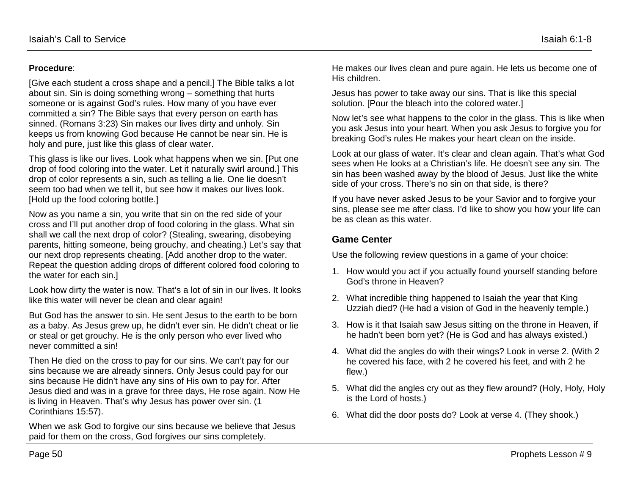### **Procedure**:

[Give each student a cross shape and a pencil.] The Bible talks a lot about sin. Sin is doing something wrong – something that hurts someone or is against God's rules. How many of you have ever committed a sin? The Bible says that every person on earth has sinned. (Romans 3:23) Sin makes our lives dirty and unholy. Sin keeps us from knowing God because He cannot be near sin. He is holy and pure, just like this glass of clear water.

This glass is like our lives. Look what happens when we sin. [Put one drop of food coloring into the water. Let it naturally swirl around.] This drop of color represents a sin, such as telling a lie. One lie doesn't seem too bad when we tell it, but see how it makes our lives look. [Hold up the food coloring bottle.]

Now as you name a sin, you write that sin on the red side of your cross and I'll put another drop of food coloring in the glass. What sin shall we call the next drop of color? (Stealing, swearing, disobeying parents, hitting someone, being grouchy, and cheating.) Let's say that our next drop represents cheating. [Add another drop to the water. Repeat the question adding drops of different colored food coloring to the water for each sin.]

Look how dirty the water is now. That's a lot of sin in our lives. It looks like this water will never be clean and clear again!

But God has the answer to sin. He sent Jesus to the earth to be born as a baby. As Jesus grew up, he didn't ever sin. He didn't cheat or lie or steal or get grouchy. He is the only person who ever lived who never committed a sin!

Then He died on the cross to pay for our sins. We can't pay for our sins because we are already sinners. Only Jesus could pay for our sins because He didn't have any sins of His own to pay for. After Jesus died and was in a grave for three days, He rose again. Now He is living in Heaven. That's why Jesus has power over sin. (1 Corinthians 15:57).

When we ask God to forgive our sins because we believe that Jesus paid for them on the cross, God forgives our sins completely.

He makes our lives clean and pure again. He lets us become one of His children.

Jesus has power to take away our sins. That is like this special solution. [Pour the bleach into the colored water.]

Now let's see what happens to the color in the glass. This is like when you ask Jesus into your heart. When you ask Jesus to forgive you for breaking God's rules He makes your heart clean on the inside.

Look at our glass of water. It's clear and clean again. That's what God sees when He looks at a Christian's life. He doesn't see any sin. The sin has been washed away by the blood of Jesus. Just like the white side of your cross. There's no sin on that side, is there?

If you have never asked Jesus to be your Savior and to forgive your sins, please see me after class. I'd like to show you how your life can be as clean as this water.

### **Game Center**

Use the following review questions in a game of your choice:

- 1. How would you act if you actually found yourself standing before God's throne in Heaven?
- 2. What incredible thing happened to Isaiah the year that King Uzziah died? (He had a vision of God in the heavenly temple.)
- 3. How is it that Isaiah saw Jesus sitting on the throne in Heaven, if he hadn't been born yet? (He is God and has always existed.)
- 4. What did the angles do with their wings? Look in verse 2. (With 2 he covered his face, with 2 he covered his feet, and with 2 he flew.)
- 5. What did the angles cry out as they flew around? (Holy, Holy, Holy is the Lord of hosts.)
- 6. What did the door posts do? Look at verse 4. (They shook.)